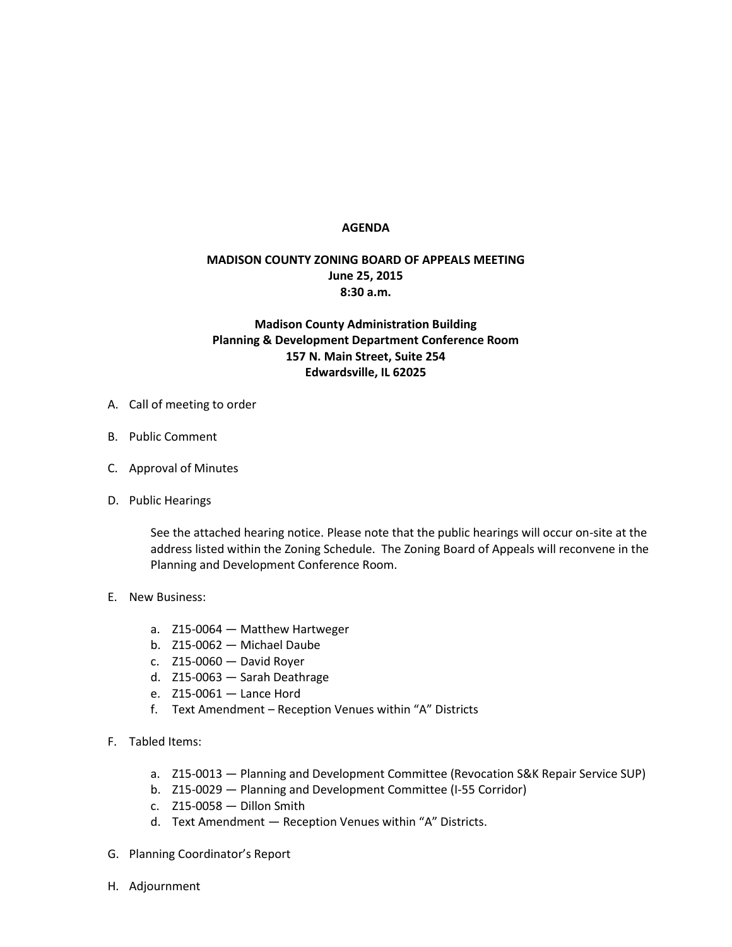## **AGENDA**

## **MADISON COUNTY ZONING BOARD OF APPEALS MEETING June 25, 2015 8:30 a.m.**

## **Madison County Administration Building Planning & Development Department Conference Room 157 N. Main Street, Suite 254 Edwardsville, IL 62025**

- A. Call of meeting to order
- B. Public Comment
- C. Approval of Minutes
- D. Public Hearings

See the attached hearing notice. Please note that the public hearings will occur on-site at the address listed within the Zoning Schedule. The Zoning Board of Appeals will reconvene in the Planning and Development Conference Room.

- E. New Business:
	- a. Z15-0064 Matthew Hartweger
	- b. Z15-0062 Michael Daube
	- c. Z15-0060 David Royer
	- d. Z15-0063 Sarah Deathrage
	- e. Z15-0061 Lance Hord
	- f. Text Amendment Reception Venues within "A" Districts
- F. Tabled Items:
	- a. Z15-0013 Planning and Development Committee (Revocation S&K Repair Service SUP)
	- b. Z15-0029 Planning and Development Committee (I-55 Corridor)
	- c. Z15-0058 Dillon Smith
	- d. Text Amendment Reception Venues within "A" Districts.
- G. Planning Coordinator's Report
- H. Adjournment